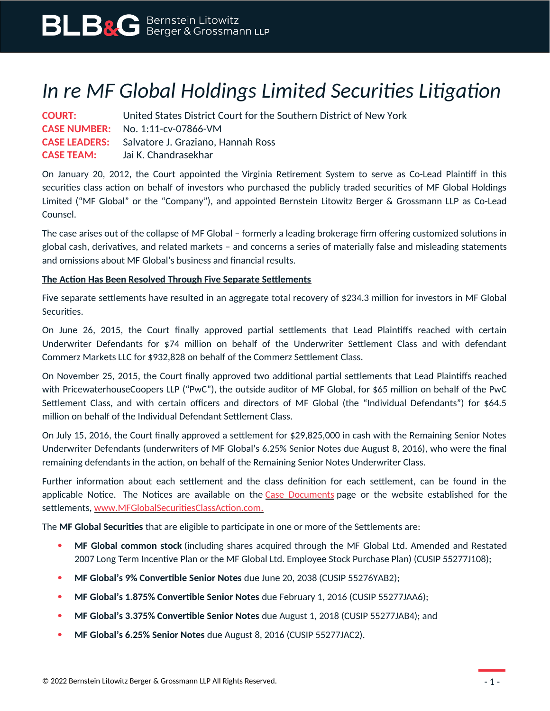# *In re MF Global Holdings Limited Securities Litigation*

**COURT:** United States District Court for the Southern District of New York **CASE NUMBER:** No. 1:11-cv-07866-VM **CASE LEADERS:** Salvatore J. Graziano, Hannah Ross **CASE TEAM:** Jai K. Chandrasekhar

On January 20, 2012, the Court appointed the Virginia Retirement System to serve as Co-Lead Plaintiff in this securities class action on behalf of investors who purchased the publicly traded securities of MF Global Holdings Limited ("MF Global" or the "Company"), and appointed Bernstein Litowitz Berger & Grossmann LLP as Co-Lead Counsel.

The case arises out of the collapse of MF Global – formerly a leading brokerage firm offering customized solutions in global cash, derivatives, and related markets – and concerns a series of materially false and misleading statements and omissions about MF Global's business and financial results.

## **The Action Has Been Resolved Through Five Separate Settlements**

Five separate settlements have resulted in an aggregate total recovery of \$234.3 million for investors in MF Global Securities.

On June 26, 2015, the Court finally approved partial settlements that Lead Plaintiffs reached with certain Underwriter Defendants for \$74 million on behalf of the Underwriter Settlement Class and with defendant Commerz Markets LLC for \$932,828 on behalf of the Commerz Settlement Class.

On November 25, 2015, the Court finally approved two additional partial settlements that Lead Plaintiffs reached with PricewaterhouseCoopers LLP ("PwC"), the outside auditor of MF Global, for \$65 million on behalf of the PwC Settlement Class, and with certain officers and directors of MF Global (the "Individual Defendants") for \$64.5 million on behalf of the Individual Defendant Settlement Class.

On July 15, 2016, the Court finally approved a settlement for \$29,825,000 in cash with the Remaining Senior Notes Underwriter Defendants (underwriters of MF Global's 6.25% Senior Notes due August 8, 2016), who were the final remaining defendants in the action, on behalf of the Remaining Senior Notes Underwriter Class.

Further information about each settlement and the class definition for each settlement, can be found in the applicable Notice. The Notices are available on the [Case Documents](https://www.blbglaw.com/cases/mf-global-holdings-limited-securities-litigation?viewDocs=1) page or the website established for the settlements, [www.MFGlobalSecuritiesClassAction.com.](http://www.mfglobalsecuritiesclassaction.com/)

The **MF Global Securities** that are eligible to participate in one or more of the Settlements are:

- **MF Global common stock** (including shares acquired through the MF Global Ltd. Amended and Restated 2007 Long Term Incentive Plan or the MF Global Ltd. Employee Stock Purchase Plan) (CUSIP 55277J108);
- **MF Global's 9% Convertible Senior Notes** due June 20, 2038 (CUSIP 55276YAB2);
- **MF Global's 1.875% Convertible Senior Notes** due February 1, 2016 (CUSIP 55277JAA6);
- **MF Global's 3.375% Convertible Senior Notes** due August 1, 2018 (CUSIP 55277JAB4); and
- **MF Global's 6.25% Senior Notes** due August 8, 2016 (CUSIP 55277JAC2).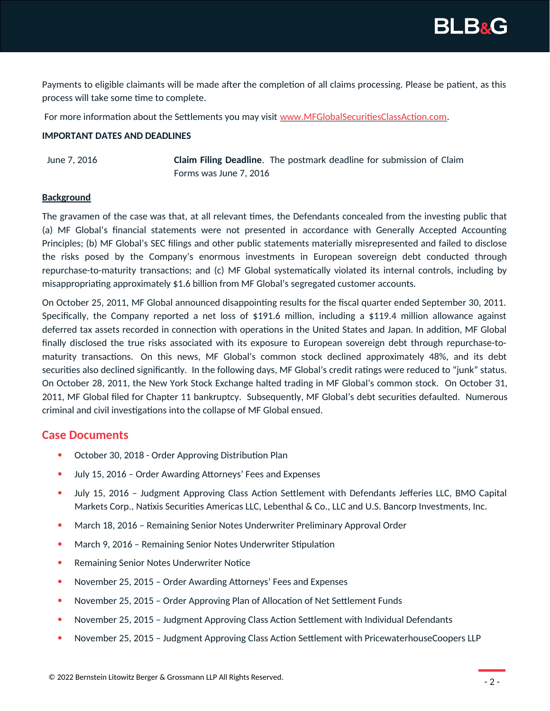**BLB&G** 

Payments to eligible claimants will be made after the completion of all claims processing. Please be patient, as this process will take some time to complete.

For more information about the Settlements you may visit [www.MFGlobalSecuritiesClassAction.com.](http://www.mfglobalsecuritiesclassaction.com/)

### **IMPORTANT DATES AND DEADLINES**

June 7, 2016 **Claim Filing Deadline**. The postmark deadline for submission of Claim Forms was June 7, 2016

#### **Background**

The gravamen of the case was that, at all relevant times, the Defendants concealed from the investing public that (a) MF Global's financial statements were not presented in accordance with Generally Accepted Accounting Principles; (b) MF Global's SEC filings and other public statements materially misrepresented and failed to disclose the risks posed by the Company's enormous investments in European sovereign debt conducted through repurchase-to-maturity transactions; and (c) MF Global systematically violated its internal controls, including by misappropriating approximately \$1.6 billion from MF Global's segregated customer accounts.

On October 25, 2011, MF Global announced disappointing results for the fiscal quarter ended September 30, 2011. Specifically, the Company reported a net loss of \$191.6 million, including a \$119.4 million allowance against deferred tax assets recorded in connection with operations in the United States and Japan. In addition, MF Global finally disclosed the true risks associated with its exposure to European sovereign debt through repurchase-tomaturity transactions. On this news, MF Global's common stock declined approximately 48%, and its debt securities also declined significantly. In the following days, MF Global's credit ratings were reduced to "junk" status. On October 28, 2011, the New York Stock Exchange halted trading in MF Global's common stock. On October 31, 2011, MF Global filed for Chapter 11 bankruptcy. Subsequently, MF Global's debt securities defaulted. Numerous criminal and civil investigations into the collapse of MF Global ensued.

## **Case Documents**

- October 30, 2018 Order Approving Distribution Plan
- July 15, 2016 Order Awarding Attorneys' Fees and Expenses
- July 15, 2016 Judgment Approving Class Action Settlement with Defendants Jefferies LLC, BMO Capital Markets Corp., Natixis Securities Americas LLC, Lebenthal & Co., LLC and U.S. Bancorp Investments, Inc.
- March 18, 2016 Remaining Senior Notes Underwriter Preliminary Approval Order
- March 9, 2016 Remaining Senior Notes Underwriter Stipulation
- Remaining Senior Notes Underwriter Notice
- November 25, 2015 Order Awarding Attorneys' Fees and Expenses
- November 25, 2015 Order Approving Plan of Allocation of Net Settlement Funds
- November 25, 2015 Judgment Approving Class Action Settlement with Individual Defendants
- November 25, 2015 Judgment Approving Class Action Settlement with PricewaterhouseCoopers LLP